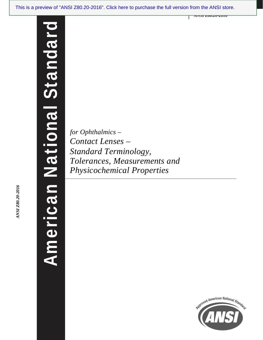*ANSI Z80.20-2016*

**American National Standard Term**<br> **American National Standard Term**<br> **Canadard Term**<br> **Canadard Term**<br> **Physicochemic**<br> **Canadard Term**<br> **Canadard Term** 

*ANSI Z80.20-2016*

ANSI Z80.20-2016

*Contact Lenses – Standard Terminology, Tolerances, Measurements and Physicochemical Properties*

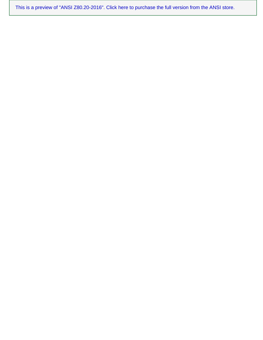[This is a preview of "ANSI Z80.20-2016". Click here to purchase the full version from the ANSI store.](https://webstore.ansi.org/Standards/VC (ASC Z80)/ANSIZ80202016?source=preview)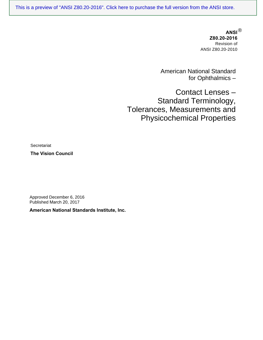[This is a preview of "ANSI Z80.20-2016". Click here to purchase the full version from the ANSI store.](https://webstore.ansi.org/Standards/VC (ASC Z80)/ANSIZ80202016?source=preview)

**ANSI** ® **Z80.20-2016** Revision of ANSI Z80.20-2010

American National Standard for Ophthalmics –

Contact Lenses – Standard Terminology, Tolerances, Measurements and Physicochemical Properties

**Secretariat** 

**The Vision Council**

Approved December 6, 2016 Published March 20, 2017

**American National Standards Institute, Inc.**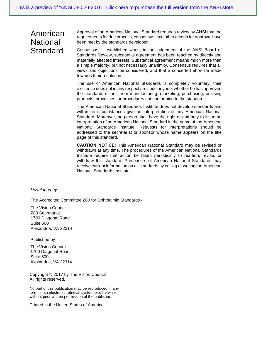# American **National** Standard

Approval of an American National Standard requires review by ANSI that the requirements for due process, consensus, and other criteria for approval have been met by the standards developer.

Consensus is established when, in the judgement of the ANSI Board of Standards Review, substantial agreement has been reached by directly and materially affected interests. Substantial agreement means much more than a simple majority, but not necessarily unanimity. Consensus requires that all views and objections be considered, and that a concerted effort be made towards their resolution.

The use of American National Standards is completely voluntary; their existence does not in any respect preclude anyone, whether he has approved the standards or not, from manufacturing, marketing, purchasing, or using products, processes, or procedures not conforming to the standards.

The American National Standards Institute does not develop standards and will in no circumstances give an interpretation of any American National Standard. Moreover, no person shall have the right or authority to issue an interpretation of an American National Standard in the name of the American National Standards Institute. Requests for interpretations should be addressed to the secretariat or sponsor whose name appears on the title page of this standard.

**CAUTION NOTICE:** This American National Standard may be revised or withdrawn at any time. The procedures of the American National Standards Institute require that action be taken periodically to reaffirm, revise, or withdraw this standard. Purchasers of American National Standards may receive current information on all standards by calling or writing the American National Standards Institute.

#### *Developed by*

The Accredited Committee Z80 for Ophthalmic Standards -

The Vision Council Z80 Secretariat 1700 Diagonal Road Suite 500 Alexandria, VA 22314

Published by

The Vision Council 1700 Diagonal Road Suite 500 Alexandria, VA 22314

Copyright © 2017 by The Vision Council All rights reserved.

No part of this publication may be reproduced in any form, in an electronic retrieval system or otherwise, without prior written permission of the publisher.

Printed in the United States of America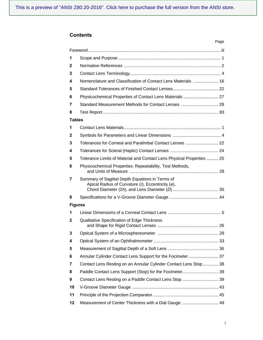## **Contents**

|               |                                                                                                      | Page |
|---------------|------------------------------------------------------------------------------------------------------|------|
|               |                                                                                                      |      |
| 1             |                                                                                                      |      |
| 2             |                                                                                                      |      |
| 3             |                                                                                                      |      |
| 4             | Nomenclature and Classification of Contact Lens Materials  16                                        |      |
| 5             |                                                                                                      |      |
| 6             | Physicochemical Properties of Contact Lens Materials  27                                             |      |
| 7             | Standard Measurement Methods for Contact Lenses  28                                                  |      |
| 8             |                                                                                                      |      |
| <b>Tables</b> |                                                                                                      |      |
| 1             |                                                                                                      |      |
| 2             |                                                                                                      |      |
| 3             | Tolerances for Corneal and Paralimbal Contact Lenses  22                                             |      |
| 4             |                                                                                                      |      |
| 5             | Tolerance Limits of Material and Contact Lens Physical Properties  25                                |      |
| 6             | Physicochemical Properties: Repeatability, Test Methods,                                             |      |
| 7             | Summary of Sagittal Depth Equations in Terms of<br>Apical Radius of Curvature (r), Eccentricity (e), |      |
| 8             |                                                                                                      |      |
|               | <b>Figures</b>                                                                                       |      |
| 1             |                                                                                                      |      |
| 2             | Qualitative Specification of Edge Thickness                                                          |      |
| 3             |                                                                                                      |      |
| 4             |                                                                                                      |      |
| 5             |                                                                                                      |      |
| 6             | Annular Cylinder Contact Lens Support for the Focimeter 37                                           |      |
| 7             | Contact Lens Resting on an Annular Cylinder Contact Lens Stop  38                                    |      |
| 8             | Paddle Contact Lens Support (Stop) for the Focimeter 39                                              |      |
| 9             | Contact Lens Resting on a Paddle Contact Lens Stop  39                                               |      |
| 10            |                                                                                                      |      |
| 11            |                                                                                                      |      |
| 12            | Measurement of Center Thickness with a Dial Gauge  49                                                |      |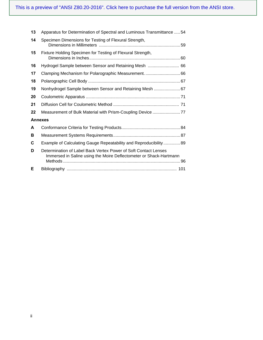| 13             | Apparatus for Determination of Spectral and Luminous Transmittance  54                                                                |  |  |  |
|----------------|---------------------------------------------------------------------------------------------------------------------------------------|--|--|--|
| 14             | Specimen Dimensions for Testing of Flexural Strength,                                                                                 |  |  |  |
| 15             | Fixture Holding Specimen for Testing of Flexural Strength,                                                                            |  |  |  |
| 16             | Hydrogel Sample between Sensor and Retaining Mesh  66                                                                                 |  |  |  |
| 17             | Clamping Mechanism for Polarographic Measurement 66                                                                                   |  |  |  |
| 18             |                                                                                                                                       |  |  |  |
| 19             | Nonhydrogel Sample between Sensor and Retaining Mesh  67                                                                              |  |  |  |
| 20             |                                                                                                                                       |  |  |  |
| 21             |                                                                                                                                       |  |  |  |
| 22             | Measurement of Bulk Material with Prism-Coupling Device 77                                                                            |  |  |  |
| <b>Annexes</b> |                                                                                                                                       |  |  |  |
| A              |                                                                                                                                       |  |  |  |
| в              |                                                                                                                                       |  |  |  |
| C              | Example of Calculating Gauge Repeatability and Reproducibility 89                                                                     |  |  |  |
| D              | Determination of Label Back Vertex Power of Soft Contact Lenses<br>Immersed in Saline using the Moire Deflectometer or Shack-Hartmann |  |  |  |
| Е              |                                                                                                                                       |  |  |  |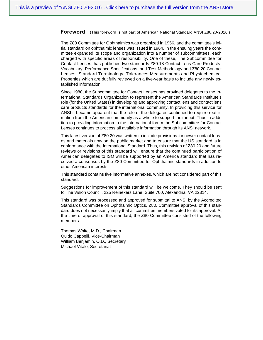**Foreword** (This foreword is not part of American National Standard ANSI Z80.20-2016.)

The Z80 Committee for Ophthalmics was organized in 1956, and the committee's initial standard on ophthalmic lenses was issued in 1964. In the ensuing years the committee expanded its scope and organization into a number of subcommittees, each charged with specific areas of responsibility. One of these, The Subcommittee for Contact Lenses, has published two standards Z80.18 Contact Lens Care Products-Vocabulary, Performance Specifications, and Test Methodology and Z80.20 Contact Lenses- Standard Terminology, Tolerances Measurements and Physiochemical Properties which are dutifully reviewed on a five-year basis to include any newly established information.

Since 1980, the Subcommittee for Contact Lenses has provided delegates to the International Standards Organization to represent the American Standards Institute's role (for the United States) in developing and approving contact lens and contact lens care products standards for the international community. In providing this service for ANSI it became apparent that the role of the delegates continued to require reaffirmation from the American community as a whole to support their input. Thus in addition to providing information to the international forum the Subcommittee for Contact Lenses continues to process all available information through its ANSI network.

This latest version of Z80.20 was written to include provisions for newer contact lenses and materials now on the public market and to ensure that the US standard is in conformance with the International Standard. Thus, this revision of Z80.20 and future reviews or revisions of this standard will ensure that the continued participation of American delegates to ISO will be supported by an America standard that has received a consensus by the Z80 Committee for Ophthalmic standards in addition to other American interests.

This standard contains five informative annexes, which are not considered part of this standard.

Suggestions for improvement of this standard will be welcome. They should be sent to The Vision Council, 225 Reinekers Lane, Suite 700, Alexandria, VA 22314.

This standard was processed and approved for submittal to ANSI by the Accredited Standards Committee on Ophthalmic Optics, Z80. Committee approval of this standard does not necessarily imply that all committee members voted for its approval. At the time of approval of this standard, the Z80 Committee consisted of the following members:

Thomas White, M.D., Chairman Quido Cappelli, Vice-Chairman William Benjamin, O.D., Secretary Michael Vitale, Secretariat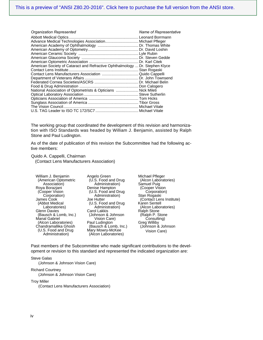| <b>Organization Represented</b>                                              | Name of Representative |
|------------------------------------------------------------------------------|------------------------|
|                                                                              |                        |
| Advance Medical Technologies Association Michael Pfleger                     |                        |
|                                                                              |                        |
|                                                                              |                        |
|                                                                              |                        |
|                                                                              |                        |
|                                                                              |                        |
| American Society of Cataract and Refractive Ophthalmology  Dr. Stephen Klyce |                        |
|                                                                              |                        |
|                                                                              |                        |
|                                                                              |                        |
|                                                                              |                        |
|                                                                              |                        |
| National Association of Optometrists & Opticians  Nick Mileti                |                        |
|                                                                              |                        |
|                                                                              |                        |
|                                                                              |                        |
|                                                                              |                        |
|                                                                              |                        |

The working group that coordinated the development of this revision and harmonization with ISO Standards was headed by William J. Benjamin, assisted by Ralph Stone and Paul Ludington.

As of the date of publication of this revision the Subcommittee had the following active members:

Quido A. Cappelli, Chairman

(Contact Lens Manufacturers Association)

| William J. Benjamin<br>(American Optometric | Angelo Green<br>(U.S. Food and Drug      | Michael Pfleger<br>(Alcon Laboratories) |
|---------------------------------------------|------------------------------------------|-----------------------------------------|
| Association)                                | Administration)                          | Samuel Puig                             |
| Roya Borazjani                              | Denise Hampton                           | (Cooper Vision                          |
| (Cooper Vision)                             | (U.S. Food and Drug                      | Corporation)                            |
| Corporation)                                | Administration)                          | Stan Rogaski                            |
| James Cook                                  | Joe Hutter                               | (Contact Lens Institute)                |
| (Abbot Medical                              | (U.S. Food and Drug                      | Karen Sentell                           |
| Laboratories)                               | Administration)                          | (Alcon Laboratories)                    |
| <b>Glenn Davies</b>                         | Carol Lakkis                             | <b>Ralph Stone</b>                      |
| (Bausch & Lomb, Inc.)                       | (Johnson & Johnson                       | (Ralph P. Stone)                        |
| <b>Manal Gabriel</b>                        | Vision Care)                             | Consulting)                             |
| (Alcon Laboratories)                        | Paul Ludington                           | Greg Williby                            |
| Chandramallika Ghosh                        | (Bausch & Lomb, Inc.)                    | (Johnson & Johnson                      |
| (U.S. Food and Drug<br>Administration)      | Mary Mowry-McKee<br>(Alcon Laboratories) | Vision Care)                            |
|                                             |                                          |                                         |

Past members of the Subcommittee who made significant contributions to the development or revision to this standard and represented the indicated organization are:

#### Steve Galas

(Johnson & Johnson Vision Care)

#### Richard Courtney

(Johnson & Johnson Vision Care)

#### Troy Miller

(Contact Lens Manufacturers Association)